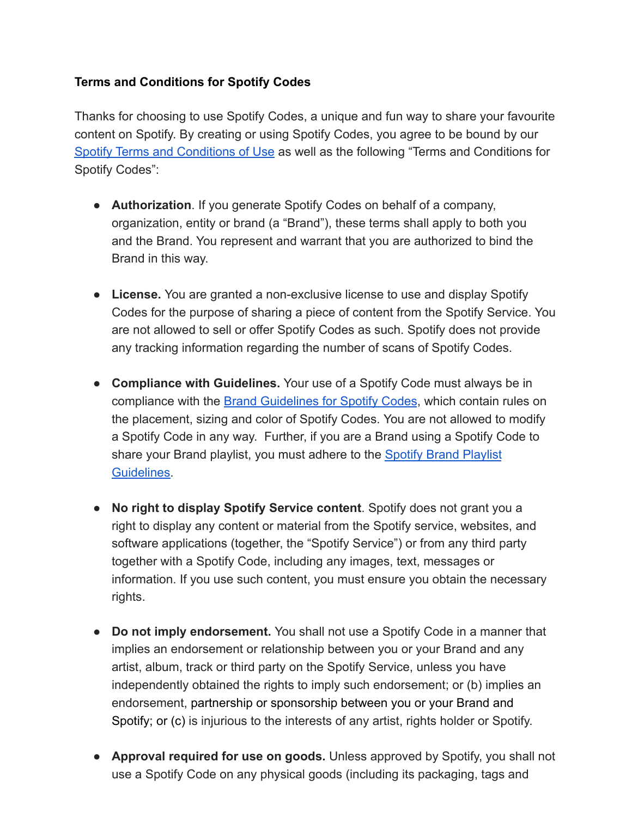## **Terms and Conditions for Spotify Codes**

Thanks for choosing to use Spotify Codes, a unique and fun way to share your favourite content on Spotify. By creating or using Spotify Codes, you agree to be bound by our [Spotify Terms and Conditions of Use](https://www.spotify.com/us/legal/end-user-agreement/) as well as the following "Terms and Conditions for Spotify Codes":

- **Authorization**. If you generate Spotify Codes on behalf of a company, organization, entity or brand (a "Brand"), these terms shall apply to both you and the Brand. You represent and warrant that you are authorized to bind the Brand in this way.
- **License.** You are granted a non-exclusive license to use and display Spotify Codes for the purpose of sharing a piece of content from the Spotify Service. You are not allowed to sell or offer Spotify Codes as such. Spotify does not provide any tracking information regarding the number of scans of Spotify Codes.
- **Compliance with Guidelines.** Your use of a Spotify Code must always be in compliance with the **Brand Guidelines for Spotify Codes**, which contain rules on [the placement, sizing and color of Spotify Codes.](http://www.spotifycodes.com/assets/Brand_Guidelines_for_Spotify_codes.pdf) You are not allowed to modify a Spotify Code in any way. Further, if you are a Brand using a Spotify Code to share your Brand playlist, you must adhere to the [Spotify Brand Playlist](https://support.spotify.com/us/article/brand-playlists/) [Guidelines.](https://support.spotify.com/us/article/brand-playlists/)
- **No right to display Spotify Service content**. Spotify does not grant you a right to display any content or material from the Spotify service, websites, and software applications (together, the "Spotify Service") or from any third party together with a Spotify Code, including any images, text, messages or information. If you use such content, you must ensure you obtain the necessary rights.
- **Do not imply endorsement.** You shall not use a Spotify Code in a manner that implies an endorsement or relationship between you or your Brand and any artist, album, track or third party on the Spotify Service, unless you have independently obtained the rights to imply such endorsement; or (b) implies an endorsement, partnership or sponsorship between you or your Brand and Spotify; or (c) is injurious to the interests of any artist, rights holder or Spotify.
- **Approval required for use on goods.** Unless approved by Spotify, you shall not use a Spotify Code on any physical goods (including its packaging, tags and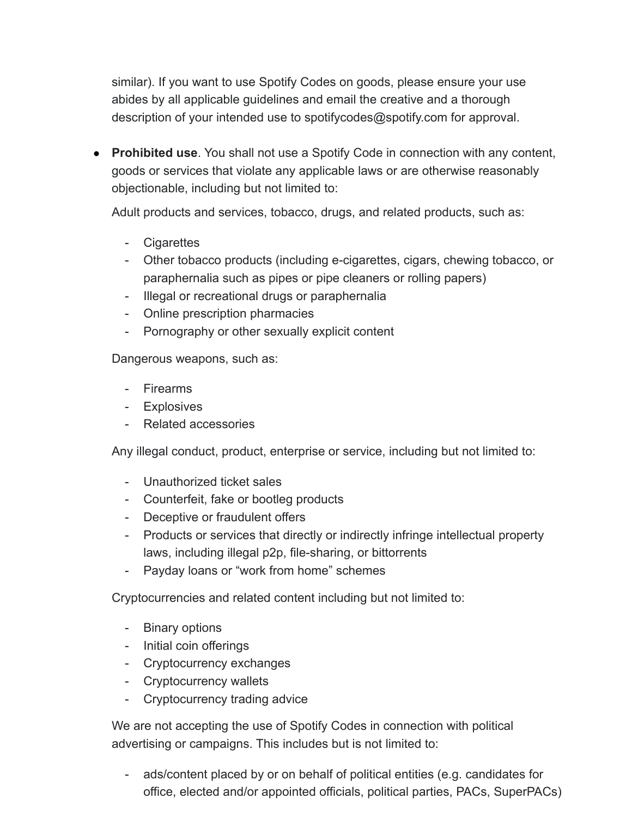similar). If you want to use Spotify Codes on goods, please ensure your use abides by all applicable guidelines and email the creative and a thorough [description of your intended use to spotifycodes@spotify.com](mailto:spotifycodes@spotify.com) for approval.

● **Prohibited use**. You shall not use a Spotify Code in connection with any content, goods or services that violate any applicable laws or are otherwise reasonably objectionable, including but not limited to:

Adult products and services, tobacco, drugs, and related products, such as:

- Cigarettes
- Other tobacco products (including e-cigarettes, cigars, chewing tobacco, or paraphernalia such as pipes or pipe cleaners or rolling papers)
- Illegal or recreational drugs or paraphernalia
- Online prescription pharmacies
- Pornography or other sexually explicit content

Dangerous weapons, such as:

- Firearms
- Explosives
- Related accessories

Any illegal conduct, product, enterprise or service, including but not limited to:

- Unauthorized ticket sales
- Counterfeit, fake or bootleg products
- Deceptive or fraudulent offers
- Products or services that directly or indirectly infringe intellectual property laws, including illegal p2p, file-sharing, or bittorrents
- Payday loans or "work from home" schemes

Cryptocurrencies and related content including but not limited to:

- Binary options
- Initial coin offerings
- Cryptocurrency exchanges
- Cryptocurrency wallets
- Cryptocurrency trading advice

We are not accepting the use of Spotify Codes in connection with political advertising or campaigns. This includes but is not limited to:

ads/content placed by or on behalf of political entities (e.g. candidates for office, elected and/or appointed officials, political parties, PACs, SuperPACs)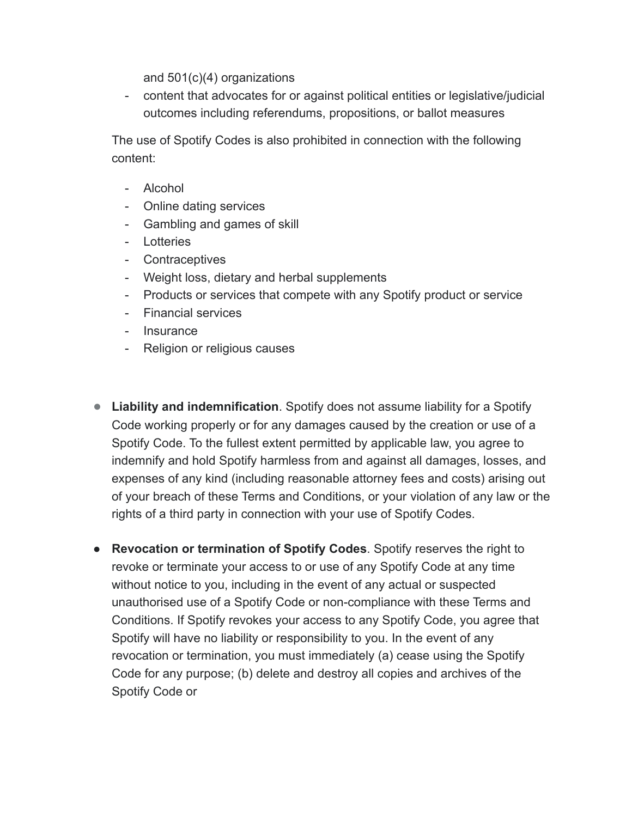and 501(c)(4) organizations

- content that advocates for or against political entities or legislative/judicial outcomes including referendums, propositions, or ballot measures

The use of Spotify Codes is also prohibited in connection with the following content:

- Alcohol
- Online dating services
- Gambling and games of skill
- Lotteries
- Contraceptives
- Weight loss, dietary and herbal supplements
- Products or services that compete with any Spotify product or service
- Financial services
- Insurance
- Religion or religious causes
- **Liability and indemnification**. Spotify does not assume liability for a Spotify Code working properly or for any damages caused by the creation or use of a Spotify Code. To the fullest extent permitted by applicable law, you agree to indemnify and hold Spotify harmless from and against all damages, losses, and expenses of any kind (including reasonable attorney fees and costs) arising out of your breach of these Terms and Conditions, or your violation of any law or the rights of a third party in connection with your use of Spotify Codes.
- **Revocation or termination of Spotify Codes**. Spotify reserves the right to revoke or terminate your access to or use of any Spotify Code at any time without notice to you, including in the event of any actual or suspected unauthorised use of a Spotify Code or non-compliance with these Terms and Conditions. If Spotify revokes your access to any Spotify Code, you agree that Spotify will have no liability or responsibility to you. In the event of any revocation or termination, you must immediately (a) cease using the Spotify Code for any purpose; (b) delete and destroy all copies and archives of the Spotify Code or